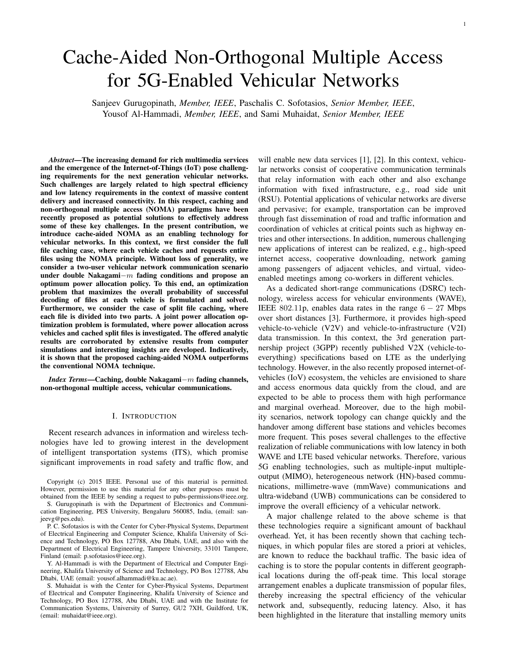# Cache-Aided Non-Orthogonal Multiple Access for 5G-Enabled Vehicular Networks

Sanjeev Gurugopinath, *Member, IEEE*, Paschalis C. Sofotasios, *Senior Member, IEEE*, Yousof Al-Hammadi, *Member, IEEE*, and Sami Muhaidat, *Senior Member, IEEE*

*Abstract*—The increasing demand for rich multimedia services and the emergence of the Internet-of-Things (IoT) pose challenging requirements for the next generation vehicular networks. Such challenges are largely related to high spectral efficiency and low latency requirements in the context of massive content delivery and increased connectivity. In this respect, caching and non-orthogonal multiple access (NOMA) paradigms have been recently proposed as potential solutions to effectively address some of these key challenges. In the present contribution, we introduce cache-aided NOMA as an enabling technology for vehicular networks. In this context, we first consider the full file caching case, where each vehicle caches and requests entire files using the NOMA principle. Without loss of generality, we consider a two-user vehicular network communication scenario under double Nakagami*−m* fading conditions and propose an optimum power allocation policy. To this end, an optimization problem that maximizes the overall probability of successful decoding of files at each vehicle is formulated and solved. Furthermore, we consider the case of split file caching, where each file is divided into two parts. A joint power allocation optimization problem is formulated, where power allocation across vehicles and cached split files is investigated. The offered analytic results are corroborated by extensive results from computer simulations and interesting insights are developed. Indicatively, it is shown that the proposed caching-aided NOMA outperforms the conventional NOMA technique.

*Index Terms*—Caching, double Nakagami*−m* fading channels, non-orthogonal multiple access, vehicular communications.

## I. INTRODUCTION

Recent research advances in information and wireless technologies have led to growing interest in the development of intelligent transportation systems (ITS), which promise significant improvements in road safety and traffic flow, and

Copyright (c) 2015 IEEE. Personal use of this material is permitted. However, permission to use this material for any other purposes must be obtained from the IEEE by sending a request to pubs-permissions@ieee.org.

S. Gurugopinath is with the Department of Electronics and Communication Engineering, PES University, Bengaluru 560085, India, (email: sanjeevg@pes.edu).

P. C. Sofotasios is with the Center for Cyber-Physical Systems, Department of Electrical Engineering and Computer Science, Khalifa University of Science and Technology, PO Box 127788, Abu Dhabi, UAE, and also with the Department of Electrical Engineering, Tampere University, 33101 Tampere, Finland (email: p.sofotasios@ieee.org).

Y. Al-Hammadi is with the Department of Electrical and Computer Engineering, Khalifa University of Science and Technology, PO Box 127788, Abu Dhabi, UAE (email: yousof.alhammadi@ku.ac.ae).

S. Muhaidat is with the Center for Cyber-Physical Systems, Department of Electrical and Computer Engineering, Khalifa University of Science and Technology, PO Box 127788, Abu Dhabi, UAE and with the Institute for Communication Systems, University of Surrey, GU2 7XH, Guildford, UK, (email: muhaidat@ieee.org).

will enable new data services [1], [2]. In this context, vehicular networks consist of cooperative communication terminals that relay information with each other and also exchange information with fixed infrastructure, e.g., road side unit (RSU). Potential applications of vehicular networks are diverse and pervasive; for example, transportation can be improved through fast dissemination of road and traffic information and coordination of vehicles at critical points such as highway entries and other intersections. In addition, numerous challenging new applications of interest can be realized, e.g., high-speed internet access, cooperative downloading, network gaming among passengers of adjacent vehicles, and virtual, videoenabled meetings among co-workers in different vehicles.

As a dedicated short-range communications (DSRC) technology, wireless access for vehicular environments (WAVE), IEEE 802*.*11p, enables data rates in the range 6 *−* 27 Mbps over short distances [3]. Furthermore, it provides high-speed vehicle-to-vehicle (V2V) and vehicle-to-infrastructure (V2I) data transmission. In this context, the 3rd generation partnership project (3GPP) recently published V2X (vehicle-toeverything) specifications based on LTE as the underlying technology. However, in the also recently proposed internet-ofvehicles (IoV) ecosystem, the vehicles are envisioned to share and access enormous data quickly from the cloud, and are expected to be able to process them with high performance and marginal overhead. Moreover, due to the high mobility scenarios, network topology can change quickly and the handover among different base stations and vehicles becomes more frequent. This poses several challenges to the effective realization of reliable communications with low latency in both WAVE and LTE based vehicular networks. Therefore, various 5G enabling technologies, such as multiple-input multipleoutput (MIMO), heterogeneous network (HN)-based communications, millimetre-wave (mmWave) communications and ultra-wideband (UWB) communications can be considered to improve the overall efficiency of a vehicular network.

A major challenge related to the above scheme is that these technologies require a significant amount of backhaul overhead. Yet, it has been recently shown that caching techniques, in which popular files are stored a priori at vehicles, are known to reduce the backhaul traffic. The basic idea of caching is to store the popular contents in different geographical locations during the off-peak time. This local storage arrangement enables a duplicate transmission of popular files, thereby increasing the spectral efficiency of the vehicular network and, subsequently, reducing latency. Also, it has been highlighted in the literature that installing memory units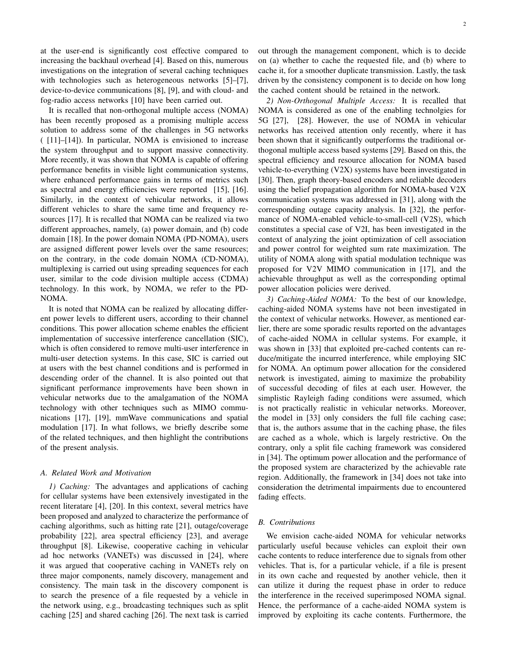at the user-end is significantly cost effective compared to increasing the backhaul overhead [4]. Based on this, numerous investigations on the integration of several caching techniques with technologies such as heterogeneous networks [5]–[7], device-to-device communications [8], [9], and with cloud- and fog-radio access networks [10] have been carried out.

It is recalled that non-orthogonal multiple access (NOMA) has been recently proposed as a promising multiple access solution to address some of the challenges in 5G networks ( [11]–[14]). In particular, NOMA is envisioned to increase the system throughput and to support massive connectivity. More recently, it was shown that NOMA is capable of offering performance benefits in visible light communication systems, where enhanced performance gains in terms of metrics such as spectral and energy efficiencies were reported [15], [16]. Similarly, in the context of vehicular networks, it allows different vehicles to share the same time and frequency resources [17]. It is recalled that NOMA can be realized via two different approaches, namely, (a) power domain, and (b) code domain [18]. In the power domain NOMA (PD-NOMA), users are assigned different power levels over the same resources; on the contrary, in the code domain NOMA (CD-NOMA), multiplexing is carried out using spreading sequences for each user, similar to the code division multiple access (CDMA) technology. In this work, by NOMA, we refer to the PD-NOMA.

It is noted that NOMA can be realized by allocating different power levels to different users, according to their channel conditions. This power allocation scheme enables the efficient implementation of successive interference cancellation (SIC), which is often considered to remove multi-user interference in multi-user detection systems. In this case, SIC is carried out at users with the best channel conditions and is performed in descending order of the channel. It is also pointed out that significant performance improvements have been shown in vehicular networks due to the amalgamation of the NOMA technology with other techniques such as MIMO communications [17], [19], mmWave communications and spatial modulation [17]. In what follows, we briefly describe some of the related techniques, and then highlight the contributions of the present analysis.

## *A. Related Work and Motivation*

*1) Caching:* The advantages and applications of caching for cellular systems have been extensively investigated in the recent literatare [4], [20]. In this context, several metrics have been proposed and analyzed to characterize the performance of caching algorithms, such as hitting rate [21], outage/coverage probability [22], area spectral efficiency [23], and average throughput [8]. Likewise, cooperative caching in vehicular ad hoc networks (VANETs) was discussed in [24], where it was argued that cooperative caching in VANETs rely on three major components, namely discovery, management and consistency. The main task in the discovery component is to search the presence of a file requested by a vehicle in the network using, e.g., broadcasting techniques such as split caching [25] and shared caching [26]. The next task is carried

2

out through the management component, which is to decide on (a) whether to cache the requested file, and (b) where to cache it, for a smoother duplicate transmission. Lastly, the task driven by the consistency component is to decide on how long the cached content should be retained in the network.

*2) Non-Orthogonal Multiple Access:* It is recalled that NOMA is considered as one of the enabling technolgies for 5G [27], [28]. However, the use of NOMA in vehicular networks has received attention only recently, where it has been shown that it significantly outperforms the traditional orthogonal multiple access based systems [29]. Based on this, the spectral efficiency and resource allocation for NOMA based vehicle-to-everything (V2X) systems have been investigated in [30]. Then, graph theory-based encoders and reliable decoders using the belief propagation algorithm for NOMA-based V2X communication systems was addressed in [31], along with the corresponding outage capacity analysis. In [32], the performance of NOMA-enabled vehicle-to-small-cell (V2S), which constitutes a special case of V2I, has been investigated in the context of analyzing the joint optimization of cell association and power control for weighted sum rate maximization. The utility of NOMA along with spatial modulation technique was proposed for V2V MIMO communication in [17], and the achievable throughput as well as the corresponding optimal power allocation policies were derived.

*3) Caching-Aided NOMA:* To the best of our knowledge, caching-aided NOMA systems have not been investigated in the context of vehicular networks. However, as mentioned earlier, there are some sporadic results reported on the advantages of cache-aided NOMA in cellular systems. For example, it was shown in [33] that exploited pre-cached contents can reduce/mitigate the incurred interference, while employing SIC for NOMA. An optimum power allocation for the considered network is investigated, aiming to maximize the probability of successful decoding of files at each user. However, the simplistic Rayleigh fading conditions were assumed, which is not practically realistic in vehicular networks. Moreover, the model in [33] only considers the full file caching case; that is, the authors assume that in the caching phase, the files are cached as a whole, which is largely restrictive. On the contrary, only a split file caching framework was considered in [34]. The optimum power allocation and the performance of the proposed system are characterized by the achievable rate region. Additionally, the framework in [34] does not take into consideration the detrimental impairments due to encountered fading effects.

#### *B. Contributions*

We envision cache-aided NOMA for vehicular networks particularly useful because vehicles can exploit their own cache contents to reduce interference due to signals from other vehicles. That is, for a particular vehicle, if a file is present in its own cache and requested by another vehicle, then it can utilize it during the request phase in order to reduce the interference in the received superimposed NOMA signal. Hence, the performance of a cache-aided NOMA system is improved by exploiting its cache contents. Furthermore, the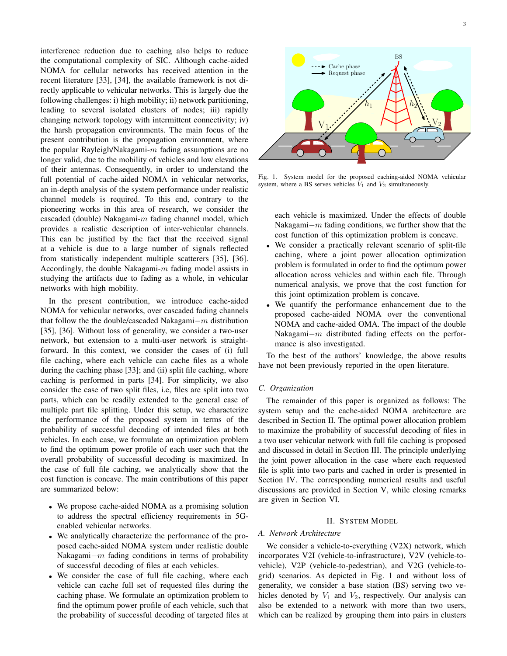interference reduction due to caching also helps to reduce the computational complexity of SIC. Although cache-aided NOMA for cellular networks has received attention in the recent literature [33], [34], the available framework is not directly applicable to vehicular networks. This is largely due the following challenges: i) high mobility; ii) network partitioning, leading to several isolated clusters of nodes; iii) rapidly changing network topology with intermittent connectivity; iv) the harsh propagation environments. The main focus of the present contribution is the propagation environment, where the popular Rayleigh/Nakagami-*m* fading assumptions are no longer valid, due to the mobility of vehicles and low elevations of their antennas. Consequently, in order to understand the full potential of cache-aided NOMA in vehicular networks, an in-depth analysis of the system performance under realistic channel models is required. To this end, contrary to the pioneering works in this area of research, we consider the cascaded (double) Nakagami-*m* fading channel model, which provides a realistic description of inter-vehicular channels. This can be justified by the fact that the received signal at a vehicle is due to a large number of signals reflected from statistically independent multiple scatterers [35], [36]. Accordingly, the double Nakagami-*m* fading model assists in studying the artifacts due to fading as a whole, in vehicular networks with high mobility.

In the present contribution, we introduce cache-aided NOMA for vehicular networks, over cascaded fading channels that follow the the double/cascaded Nakagami*−m* distribution [35], [36]. Without loss of generality, we consider a two-user network, but extension to a multi-user network is straightforward. In this context, we consider the cases of (i) full file caching, where each vehicle can cache files as a whole during the caching phase [33]; and (ii) split file caching, where caching is performed in parts [34]. For simplicity, we also consider the case of two split files, i.e, files are split into two parts, which can be readily extended to the general case of multiple part file splitting. Under this setup, we characterize the performance of the proposed system in terms of the probability of successful decoding of intended files at both vehicles. In each case, we formulate an optimization problem to find the optimum power profile of each user such that the overall probability of successful decoding is maximized. In the case of full file caching, we analytically show that the cost function is concave. The main contributions of this paper are summarized below:

- *•* We propose cache-aided NOMA as a promising solution to address the spectral efficiency requirements in 5Genabled vehicular networks.
- *•* We analytically characterize the performance of the proposed cache-aided NOMA system under realistic double Nakagami*−m* fading conditions in terms of probability of successful decoding of files at each vehicles.
- We consider the case of full file caching, where each vehicle can cache full set of requested files during the caching phase. We formulate an optimization problem to find the optimum power profile of each vehicle, such that the probability of successful decoding of targeted files at



Fig. 1. System model for the proposed caching-aided NOMA vehicular system, where a BS serves vehicles  $V_1$  and  $V_2$  simultaneously.

each vehicle is maximized. Under the effects of double Nakagami*−m* fading conditions, we further show that the cost function of this optimization problem is concave.

- We consider a practically relevant scenario of split-file caching, where a joint power allocation optimization problem is formulated in order to find the optimum power allocation across vehicles and within each file. Through numerical analysis, we prove that the cost function for this joint optimization problem is concave.
- *•* We quantify the performance enhancement due to the proposed cache-aided NOMA over the conventional NOMA and cache-aided OMA. The impact of the double Nakagami*−m* distributed fading effects on the performance is also investigated.

To the best of the authors' knowledge, the above results have not been previously reported in the open literature.

## *C. Organization*

The remainder of this paper is organized as follows: The system setup and the cache-aided NOMA architecture are described in Section II. The optimal power allocation problem to maximize the probability of successful decoding of files in a two user vehicular network with full file caching is proposed and discussed in detail in Section III. The principle underlying the joint power allocation in the case where each requested file is split into two parts and cached in order is presented in Section IV. The corresponding numerical results and useful discussions are provided in Section V, while closing remarks are given in Section VI.

# II. SYSTEM MODEL

# *A. Network Architecture*

We consider a vehicle-to-everything (V2X) network, which incorporates V2I (vehicle-to-infrastructure), V2V (vehicle-tovehicle), V2P (vehicle-to-pedestrian), and V2G (vehicle-togrid) scenarios. As depicted in Fig. 1 and without loss of generality, we consider a base station (BS) serving two vehicles denoted by  $V_1$  and  $V_2$ , respectively. Our analysis can also be extended to a network with more than two users, which can be realized by grouping them into pairs in clusters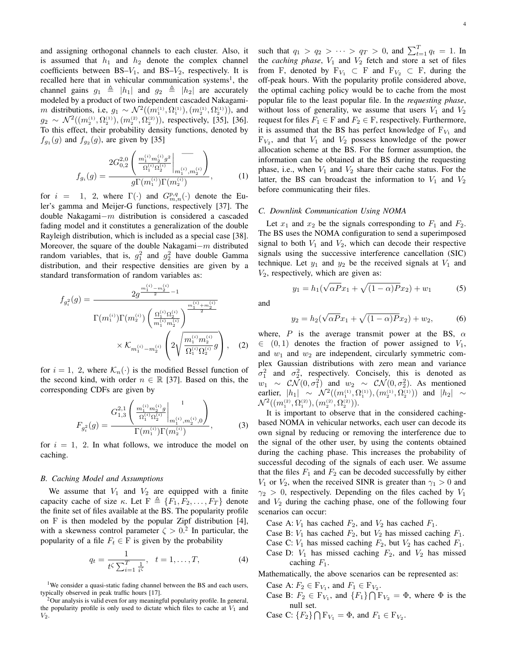and assigning orthogonal channels to each cluster. Also, it is assumed that  $h_1$  and  $h_2$  denote the complex channel coefficients between  $BS-V_1$ , and  $BS-V_2$ , respectively. It is recalled here that in vehicular communication systems<sup>1</sup>, the channel gains  $g_1 \triangleq |h_1|$  and  $g_2 \triangleq |h_2|$  are accurately modeled by a product of two independent cascaded Nakagami*m* distributions, i.e,  $g_1 \sim \mathcal{N}^2((m_1^{(1)}, \Omega_1^{(1)}), (m_2^{(1)}, \Omega_2^{(1)}))$ , and  $g_2 \sim \mathcal{N}^2((m_2^{(1)}, \Omega_2^{(1)}), (m_2^{(2)}, \Omega_2^{(2)}))$ , respectively, [35], [36]. To this effect, their probability density functions, denoted by  $f_{g_1}(g)$  and  $f_{g_2}(g)$ , are given by [35]

$$
f_{g_i}(g) = \frac{2G_{0,2}^{2,0}\left(\frac{m_1^{(i)}m_2^{(i)}g^2}{\Omega_1^{(i)}\Omega_2^{(i)}}\bigg|_{m_1^{(i)},m_2^{(i)}}\right)}{g\Gamma(m_1^{(i)})\Gamma(m_2^{(i)})},\tag{1}
$$

for  $i = 1, 2$ , where  $\Gamma(\cdot)$  and  $G_{m,n}^{p,q}(\cdot)$  denote the Euler's gamma and Meijer-G functions, respectively [37]. The double Nakagami*−m* distribution is considered a cascaded fading model and it constitutes a generalization of the double Rayleigh distribution, which is included as a special case [38]. Moreover, the square of the double Nakagami*−m* distributed random variables, that is,  $g_1^2$  and  $g_2^2$  have double Gamma distribution, and their respective densities are given by a standard transformation of random variables as:

$$
f_{g_i^2}(g) = \frac{2g^{\frac{m_1^{(i)} - m_2^{(i)}}{2} - 1}}{\Gamma(m_1^{(i)})\Gamma(m_2^{(i)})\left(\frac{\Omega_1^{(i)}\Omega_2^{(i)}}{m_1^{(i)}m_2^{(i)}}\right)^{\frac{m_1^{(i)} + m_2^{(i)}}{2}}}
$$

$$
\times \mathcal{K}_{m_1^{(i)} - m_2^{(i)}}\left(2\sqrt{\frac{m_1^{(i)}m_2^{(i)}}{\Omega_1^{(i)}\Omega_2^{(i)}}g}\right), \quad (2)
$$

for  $i = 1, 2$ , where  $\mathcal{K}_n(\cdot)$  is the modified Bessel function of the second kind, with order  $n \in \mathbb{R}$  [37]. Based on this, the corresponding CDFs are given by

$$
F_{g_i^2}(g) = \frac{G_{1,3}^{2,1} \left( \left. \frac{m_1^{(i)} m_2^{(i)} g}{\Omega_1^{(i)} \Omega_2^{(i)}} \right|_{m_1^{(i)}, m_2^{(i)}, 0} \right)}{\Gamma(m_1^{(i)}) \Gamma(m_2^{(i)})},
$$
(3)

for  $i = 1$ , 2. In what follows, we introduce the model on caching.

## *B. Caching Model and Assumptions*

We assume that  $V_1$  and  $V_2$  are equipped with a finite capacity cache of size  $\kappa$ . Let  $F \triangleq \{F_1, F_2, \ldots, F_T\}$  denote the finite set of files available at the BS. The popularity profile on F is then modeled by the popular Zipf distribution [4], with a skewness control parameter  $\zeta > 0$ .<sup>2</sup> In particular, the popularity of a file  $F_t \in F$  is given by the probability

$$
q_t = \frac{1}{t^{\zeta} \sum_{i=1}^{T} \frac{1}{i^{\zeta}}}, \quad t = 1, \dots, T,
$$
 (4)

<sup>1</sup>We consider a quasi-static fading channel between the BS and each users, typically observed in peak traffic hours [17].

such that  $q_1 > q_2 > \cdots > q_T > 0$ , and  $\sum_{t=1}^{T} q_t = 1$ . In the *caching phase*,  $V_1$  and  $V_2$  fetch and store a set of files from F, denoted by  $F_{V_1} \subset F$  and  $F_{V_2} \subset F$ , during the off-peak hours. With the popularity profile considered above, the optimal caching policy would be to cache from the most popular file to the least popular file. In the *requesting phase*, without loss of generality, we assume that users  $V_1$  and  $V_2$ request for files  $F_1 \in F$  and  $F_2 \in F$ , respectively. Furthermore, it is assumed that the BS has perfect knowledge of  $F_{V_1}$  and  $F_{V_2}$ , and that  $V_1$  and  $V_2$  possess knowledge of the power allocation scheme at the BS. For the former assumption, the information can be obtained at the BS during the requesting phase, i.e., when  $V_1$  and  $V_2$  share their cache status. For the latter, the BS can broadcast the information to  $V_1$  and  $V_2$ before communicating their files.

## *C. Downlink Communication Using NOMA*

 $y_1 = h_1($ 

Let  $x_1$  and  $x_2$  be the signals corresponding to  $F_1$  and  $F_2$ . The BS uses the NOMA configuration to send a superimposed signal to both  $V_1$  and  $V_2$ , which can decode their respective signals using the successive interference cancellation (SIC) technique. Let  $y_1$  and  $y_2$  be the received signals at  $V_1$  and *V*2, respectively, which are given as: *√*

and

$$
y_2 = h_2(\sqrt{\alpha P}x_1 + \sqrt{(1-\alpha)P}x_2) + w_2, \tag{6}
$$

 $\overline{\alpha P}x_1 + \sqrt{(1-\alpha)P}x_2 + w_1$  (5)

where, *P* is the average transmit power at the BS,  $\alpha$ *∈* (0*,* 1) denotes the fraction of power assigned to *V*1, and  $w_1$  and  $w_2$  are independent, circularly symmetric complex Gaussian distributions with zero mean and variance  $\sigma_1^2$  and  $\sigma_2^2$ , respectively. Concisely, this is denoted as *w*<sub>1</sub>  $\sim$  *CN*(0*, σ*<sub>1</sub><sup>2</sup>) and *w*<sub>2</sub>  $\sim$  *CN*(0*, σ*<sub>2</sub><sup>2</sup>). As mentioned earlier,  $|h_1| \sim \mathcal{N}^2((m_1^{(1)}, \Omega_1^{(1)}), (m_2^{(1)}, \Omega_2^{(1)}))$  and  $|h_2| \sim$  $\mathcal{N}^{2}((m_{1}^{(2)},\Omega_{1}^{(2)}),(m_{2}^{(2)},\Omega_{2}^{(2)})).$ 

It is important to observe that in the considered cachingbased NOMA in vehicular networks, each user can decode its own signal by reducing or removing the interference due to the signal of the other user, by using the contents obtained during the caching phase. This increases the probability of successful decoding of the signals of each user. We assume that the files  $F_1$  and  $F_2$  can be decoded successfully by either *V*<sub>1</sub> or *V*<sub>2</sub>, when the received SINR is greater than  $\gamma_1 > 0$  and  $\gamma_2$  > 0, respectively. Depending on the files cached by *V*<sub>1</sub> and *V*<sup>2</sup> during the caching phase, one of the following four scenarios can occur:

Case A:  $V_1$  has cached  $F_2$ , and  $V_2$  has cached  $F_1$ .

- Case B:  $V_1$  has cached  $F_2$ , but  $V_2$  has missed caching  $F_1$ .
- Case C:  $V_1$  has missed caching  $F_2$ , but  $V_2$  has cached  $F_1$ .
- Case D:  $V_1$  has missed caching  $F_2$ , and  $V_2$  has missed caching *F*1.

Mathematically, the above scenarios can be represented as:

- Case A:  $F_2 \in F_{V_1}$ , and  $F_1 \in F_{V_2}$ .
- Case B:  $F_2 \in \mathbb{F}_{V_1}$ , and  $\{F_1\} \cap \mathbb{F}_{V_2} = \Phi$ , where  $\Phi$  is the null set.
- Case C:  ${F_2} \cap F_{V_1} = \Phi$ , and  $F_1 \in F_{V_2}$ .

<sup>&</sup>lt;sup>2</sup>Our analysis is valid even for any meaningful popularity profile. In general, the popularity profile is only used to dictate which files to cache at  $V_1$  and *V*2.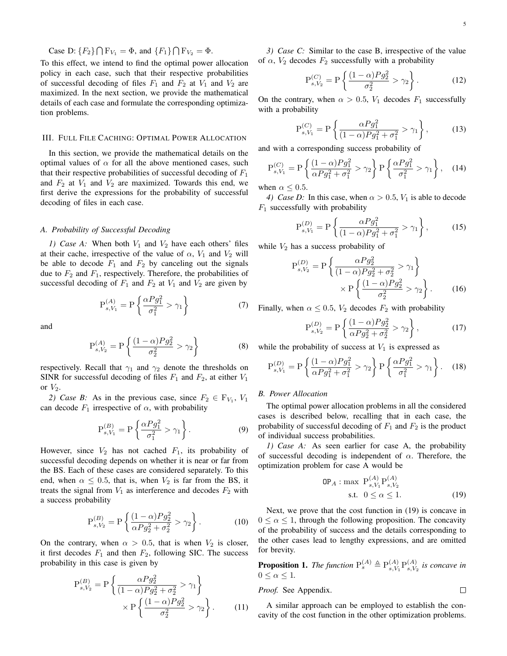Case D:  ${F_2} \cap F_{V_1} = \Phi$ , and  ${F_1} \cap F_{V_2} = \Phi$ .

To this effect, we intend to find the optimal power allocation policy in each case, such that their respective probabilities of successful decoding of files  $F_1$  and  $F_2$  at  $V_1$  and  $V_2$  are maximized. In the next section, we provide the mathematical details of each case and formulate the corresponding optimization problems.

## III. FULL FILE CACHING: OPTIMAL POWER ALLOCATION

In this section, we provide the mathematical details on the optimal values of  $\alpha$  for all the above mentioned cases, such that their respective probabilities of successful decoding of *F*<sup>1</sup> and  $F_2$  at  $V_1$  and  $V_2$  are maximized. Towards this end, we first derive the expressions for the probability of successful decoding of files in each case.

#### *A. Probability of Successful Decoding*

*1) Case A:* When both  $V_1$  and  $V_2$  have each others' files at their cache, irrespective of the value of  $\alpha$ ,  $V_1$  and  $V_2$  will be able to decode  $F_1$  and  $F_2$  by canceling out the signals due to  $F_2$  and  $F_1$ , respectively. Therefore, the probabilities of successful decoding of  $F_1$  and  $F_2$  at  $V_1$  and  $V_2$  are given by

$$
P_{s,V_1}^{(A)} = P\left\{\frac{\alpha P g_1^2}{\sigma_1^2} > \gamma_1\right\}
$$
 (7)

and

$$
P_{s,V_2}^{(A)} = P\left\{\frac{(1-\alpha)Pg_2^2}{\sigma_2^2} > \gamma_2\right\}
$$
 (8)

respectively. Recall that  $\gamma_1$  and  $\gamma_2$  denote the thresholds on SINR for successful decoding of files  $F_1$  and  $F_2$ , at either  $V_1$ or  $V_2$ .

*2) Case B:* As in the previous case, since  $F_2 \in \mathbb{F}_{V_1}$ ,  $V_1$ can decode  $F_1$  irrespective of  $\alpha$ , with probability

$$
P_{s,V_1}^{(B)} = P\left\{\frac{\alpha P g_1^2}{\sigma_1^2} > \gamma_1\right\}.
$$
 (9)

However, since  $V_2$  has not cached  $F_1$ , its probability of successful decoding depends on whether it is near or far from the BS. Each of these cases are considered separately. To this end, when  $\alpha \leq 0.5$ , that is, when  $V_2$  is far from the BS, it treats the signal from  $V_1$  as interference and decodes  $F_2$  with a success probability

$$
P_{s,V_2}^{(B)} = P\left\{\frac{(1-\alpha)Pg_2^2}{\alpha Pg_2^2 + \sigma_2^2} > \gamma_2\right\}.
$$
 (10)

On the contrary, when  $\alpha > 0.5$ , that is when  $V_2$  is closer, it first decodes  $F_1$  and then  $F_2$ , following SIC. The success probability in this case is given by

$$
P_{s,V_2}^{(B)} = P\left\{\frac{\alpha P g_2^2}{(1-\alpha)P g_2^2 + \sigma_2^2} > \gamma_1\right\} \times P\left\{\frac{(1-\alpha)P g_2^2}{\sigma_2^2} > \gamma_2\right\}.
$$
 (11)

*3) Case C:* Similar to the case B, irrespective of the value of  $\alpha$ ,  $V_2$  decodes  $F_2$  successfully with a probability

$$
P_{s,V_2}^{(C)} = P\left\{\frac{(1-\alpha)Pg_2^2}{\sigma_2^2} > \gamma_2\right\}.
$$
 (12)

On the contrary, when  $\alpha > 0.5$ ,  $V_1$  decodes  $F_1$  successfully with a probability

$$
P_{s,V_1}^{(C)} = P\left\{\frac{\alpha P g_1^2}{(1-\alpha)P g_1^2 + \sigma_1^2} > \gamma_1\right\},\qquad(13)
$$

and with a corresponding success probability of

$$
P_{s,V_1}^{(C)} = P\left\{\frac{(1-\alpha)Pg_1^2}{\alpha Pg_1^2 + \sigma_1^2} > \gamma_2\right\} P\left\{\frac{\alpha Pg_1^2}{\sigma_1^2} > \gamma_1\right\},\quad(14)
$$

when  $\alpha \leq 0.5$ .

*4) Case D:* In this case, when  $\alpha > 0.5$ ,  $V_1$  is able to decode *F*<sup>1</sup> successfully with probability

$$
P_{s,V_1}^{(D)} = P\left\{\frac{\alpha P g_1^2}{(1-\alpha)P g_1^2 + \sigma_1^2} > \gamma_1\right\},\qquad(15)
$$

while  $V_2$  has a success probability of

$$
P_{s,V_2}^{(D)} = P\left\{\frac{\alpha P g_2^2}{(1-\alpha)P g_2^2 + \sigma_2^2} > \gamma_1\right\}
$$

$$
\times P\left\{\frac{(1-\alpha)P g_2^2}{\sigma_2^2} > \gamma_2\right\}.
$$
 (16)

Finally, when  $\alpha \leq 0.5$ ,  $V_2$  decodes  $F_2$  with probability

$$
P_{s,V_2}^{(D)} = P\left\{\frac{(1-\alpha)Pg_2^2}{\alpha Pg_2^2 + \sigma_2^2} > \gamma_2\right\},
$$
 (17)

while the probability of success at  $V_1$  is expressed as

$$
P_{s,V_1}^{(D)} = P\left\{\frac{(1-\alpha)Pg_1^2}{\alpha Pg_1^2 + \sigma_1^2} > \gamma_2\right\} P\left\{\frac{\alpha Pg_1^2}{\sigma_1^2} > \gamma_1\right\}.
$$
 (18)

## *B. Power Allocation*

The optimal power allocation problems in all the considered cases is described below, recalling that in each case, the probability of successful decoding of  $F_1$  and  $F_2$  is the product of individual success probabilities.

*1) Case A:* As seen earlier for case A, the probability of successful decoding is independent of *α*. Therefore, the optimization problem for case A would be

$$
OP_A: \max \ P_{s,V_1}^{(A)} P_{s,V_2}^{(A)}
$$
  
s.t.  $0 \le \alpha \le 1$ . (19)

 $\Box$ 

Next, we prove that the cost function in (19) is concave in  $0 \leq \alpha \leq 1$ , through the following proposition. The concavity of the probability of success and the details corresponding to the other cases lead to lengthy expressions, and are omitted for brevity.

**Proposition 1.** The function  $P_s^{(A)} \triangleq P_{s,V}^{(A)}$  $_{s, V_1}^{(A)}\mathrm{P}_{s, V_2}^{(A)}$  $\int_{s,V_2}^{(A)}$  *is concave in*  $0 \leq \alpha \leq 1$ .

*Proof.* See Appendix.

A similar approach can be employed to establish the concavity of the cost function in the other optimization problems.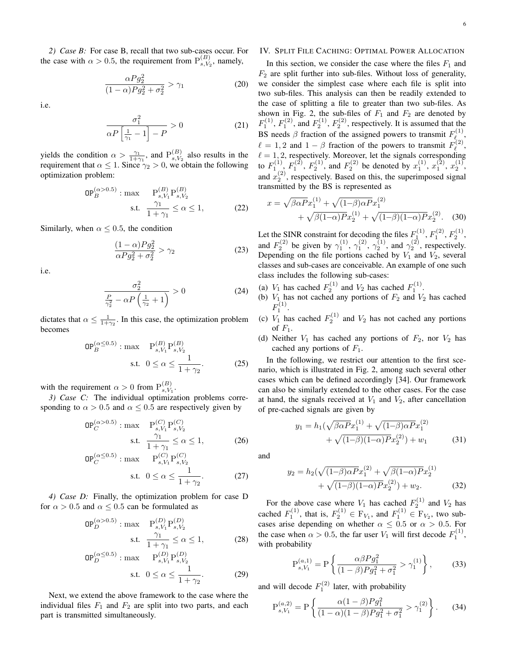*2) Case B:* For case B, recall that two sub-cases occur. For the case with  $\alpha > 0.5$ , the requirement from  $P_{sV}^{(B)}$  $\binom{D}{s, V_2}$ , namely,

$$
\frac{\alpha P g_2^2}{(1-\alpha)P g_2^2 + \sigma_2^2} > \gamma_1
$$
\n(20)

i.e.

$$
\frac{\sigma_1^2}{\alpha P \left[\frac{1}{\gamma_1} - 1\right] - P} > 0\tag{21}
$$

yields the condition  $\alpha > \frac{\gamma_1}{1+\gamma_1}$ , and  $P_{s, V_1}^{(B)}$  $s, V_2$  also results in the requirement that  $\alpha \leq 1$ . Since  $\gamma_2 > 0$ , we obtain the following optimization problem:

$$
OP_B^{(\alpha > 0.5)} : \max \n\begin{cases}\n\text{P}_{s, V_1}^{(B)} P_{s, V_2}^{(B)} \\
\text{s.t.} \quad \frac{\gamma_1}{1 + \gamma_1} \le \alpha \le 1,\n\end{cases}\n\tag{22}
$$

Similarly, when  $\alpha \leq 0.5$ , the condition

$$
\frac{(1-\alpha)P g_2^2}{\alpha P g_2^2 + \sigma_2^2} > \gamma_2
$$
\n(23)

i.e.

$$
\frac{\sigma_2^2}{\frac{P}{\gamma_2^2} - \alpha P \left(\frac{1}{\gamma_2} + 1\right)} > 0\tag{24}
$$

dictates that  $\alpha \leq \frac{1}{1+\gamma_2}$ . In this case, the optimization problem becomes

$$
OP_B^{(\alpha \le 0.5)} : \max \quad P_{s,V_1}^{(B)} P_{s,V_2}^{(B)}
$$
  
s.t.  $0 \le \alpha \le \frac{1}{1 + \gamma_2}.$  (25)

with the requirement  $\alpha > 0$  from  $P_{sV}^{(B)}$  $\frac{(D)}{s, V_1}$ 

*3) Case C:* The individual optimization problems corresponding to  $\alpha > 0.5$  and  $\alpha \leq 0.5$  are respectively given by

$$
OP_C^{(\alpha > 0.5)} : \max \quad P_{s, V_1}^{(C)} P_{s, V_2}^{(C)}
$$
  
s.t. 
$$
\frac{\gamma_1}{1 + \gamma_1} \le \alpha \le 1,
$$
 (26)

$$
OP_C^{(\alpha \le 0.5)} : \max \begin{cases} P_{s,V_1}^{(C)} P_{s,V_2}^{(C)} \\ \text{s.t.} & 0 \le \alpha \le \frac{1}{1 + \gamma_2}. \end{cases}
$$
 (27)

*4) Case D:* Finally, the optimization problem for case D for  $\alpha > 0.5$  and  $\alpha \leq 0.5$  can be formulated as

$$
\mathsf{OP}_{D}^{(\alpha>0.5)} : \max \quad \mathbf{P}_{s,V_1}^{(D)} \mathbf{P}_{s,V_2}^{(D)}
$$
\ns.t. 
$$
\frac{\gamma_1}{1+\gamma_1} \le \alpha \le 1,
$$
\n(28)

$$
OP_D^{(\alpha \le 0.5)} : \max \tP_{s,V_1}^{(D)} P_{s,V_2}^{(D)}
$$
  
s.t.  $0 \le \alpha \le \frac{1}{1 + \gamma_2}.$  (29)

Next, we extend the above framework to the case where the individual files  $F_1$  and  $F_2$  are split into two parts, and each part is transmitted simultaneously.

# IV. SPLIT FILE CACHING: OPTIMAL POWER ALLOCATION

In this section, we consider the case where the files  $F_1$  and  $F_2$  are split further into sub-files. Without loss of generality, we consider the simplest case where each file is split into two sub-files. This analysis can then be readily extended to the case of splitting a file to greater than two sub-files. As shown in Fig. 2, the sub-files of  $F_1$  and  $F_2$  are denoted by  $F_1^{(1)}$ ,  $F_1^{(2)}$ , and  $F_2^{(1)}$ ,  $F_2^{(2)}$ , respectively. It is assumed that the BS needs  $\beta$  fraction of the assigned powers to transmit  $F_{\ell}^{(1)}$ ,(1)<br> $\ell_{\infty}$ ,  $\ell = 1, 2$  and  $1 - \beta$  fraction of the powers to transmit  $F_{\ell}^{(2)}$ *ℓ* ,  $\ell = 1, 2$ , respectively. Moreover, let the signals corresponding to  $F_1^{(1)}$ ,  $F_1^{(2)}$ ,  $F_2^{(1)}$ , and  $F_2^{(2)}$  be denoted by  $x_1^{(1)}$ ,  $x_1^{(2)}$ ,  $x_2^{(1)}$ , and  $x_2^{(2)}$ , respectively. Based on this, the superimposed signal transmitted by the BS is represented as

$$
x = \sqrt{\beta \alpha P} x_1^{(1)} + \sqrt{(1-\beta)\alpha P} x_1^{(2)} + \sqrt{\beta(1-\alpha)P} x_2^{(1)} + \sqrt{(1-\beta)(1-\alpha)P} x_2^{(2)}.
$$
 (30)

Let the SINR constraint for decoding the files  $F_1^{(1)}$ ,  $F_1^{(2)}$ ,  $F_2^{(1)}$ , and  $F_2^{(2)}$  be given by  $\gamma_1^{(1)}$ ,  $\gamma_1^{(2)}$ ,  $\gamma_2^{(1)}$ , and  $\gamma_2^{(2)}$ , respectively. Depending on the file portions cached by  $V_1$  and  $V_2$ , several classes and sub-cases are conceivable. An example of one such class includes the following sub-cases:

- (a)  $V_1$  has cached  $F_2^{(1)}$  and  $V_2$  has cached  $F_1^{(1)}$ .
- (b)  $V_1$  has not cached any portions of  $F_2$  and  $V_2$  has cached *F* 1 .
- (c)  $V_1$  has cached  $F_2^{(1)}$  and  $V_2$  has not cached any portions of  $F_1$ .
- (d) Neither  $V_1$  has cached any portions of  $F_2$ , nor  $V_2$  has cached any portions of  $F_1$ .

In the following, we restrict our attention to the first scenario, which is illustrated in Fig. 2, among such several other cases which can be defined accordingly [34]. Our framework can also be similarly extended to the other cases. For the case at hand, the signals received at  $V_1$  and  $V_2$ , after cancellation of pre-cached signals are given by

$$
y_1 = h_1(\sqrt{\beta \alpha P} x_1^{(1)} + \sqrt{(1-\beta)\alpha P} x_1^{(2)} + \sqrt{(1-\beta)(1-\alpha)P} x_2^{(2)}) + w_1
$$
 (31)

and

$$
y_2 = h_2(\sqrt{(1-\beta)\alpha P}x_1^{(2)} + \sqrt{\beta(1-\alpha)P}x_2^{(1)} + \sqrt{(1-\beta)(1-\alpha)P}x_2^{(2)}) + w_2.
$$
 (32)

For the above case where  $V_1$  has cached  $F_2^{(1)}$  and  $V_2$  has cached  $F_1^{(1)}$ , that is,  $F_2^{(1)} \in F_{V_1}$ , and  $F_1^{(1)} \in F_{V_2}$ , two subcases arise depending on whether  $\alpha \leq 0.5$  or  $\alpha > 0.5$ . For the case when  $\alpha > 0.5$ , the far user  $V_1$  will first decode  $F_1^{(1)}$ , with probability

$$
P_{s,V_1}^{(a,1)} = P\left\{\frac{\alpha\beta P g_1^2}{(1-\beta)P g_1^2 + \sigma_1^2} > \gamma_1^{(1)}\right\},\qquad(33)
$$

and will decode  $F_1^{(2)}$  later, with probability

$$
P_{s,V_1}^{(a,2)} = P\left\{\frac{\alpha(1-\beta)Pg_1^2}{(1-\alpha)(1-\beta)Pg_1^2 + \sigma_1^2} > \gamma_1^{(2)}\right\}.
$$
 (34)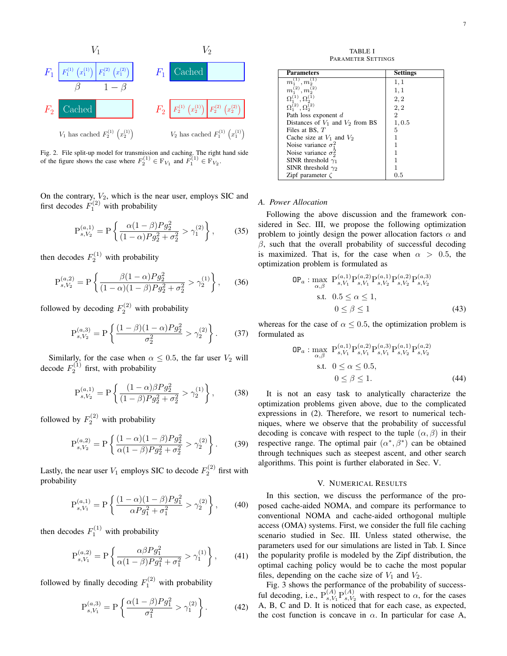

Fig. 2. File split-up model for transmission and caching. The right hand side of the figure shows the case where  $F_2^{(1)} \in F_{V_1}$  and  $F_1^{(1)} \in F_{V_2}$ .

On the contrary,  $V_2$ , which is the near user, employs SIC and first decodes  $F_1^{(2)}$  with probability

$$
P_{s,V_2}^{(a,1)} = P\left\{\frac{\alpha(1-\beta)Pg_2^2}{(1-\alpha)Pg_2^2 + \sigma_2^2} > \gamma_1^{(2)}\right\},\qquad(35)
$$

then decodes  $F_2^{(1)}$  with probability

$$
P_{s,V_2}^{(a,2)} = P\left\{\frac{\beta(1-\alpha)Pg_2^2}{(1-\alpha)(1-\beta)Pg_2^2 + \sigma_2^2} > \gamma_2^{(1)}\right\},\qquad(36)
$$

followed by decoding  $F_2^{(2)}$  with probability

$$
P_{s,V_2}^{(a,3)} = P\left\{\frac{(1-\beta)(1-\alpha)Pg_2^2}{\sigma_2^2} > \gamma_2^{(2)}\right\}.
$$
 (37)

Similarly, for the case when  $\alpha \leq 0.5$ , the far user  $V_2$  will decode  $F_2^{(1)}$  first, with probability

$$
P_{s,V_2}^{(a,1)} = P\left\{\frac{(1-\alpha)\beta P g_2^2}{(1-\beta)P g_2^2 + \sigma_2^2} > \gamma_2^{(1)}\right\},\qquad(38)
$$

followed by  $F_2^{(2)}$  with probability

$$
P_{s,V_2}^{(a,2)} = P\left\{\frac{(1-\alpha)(1-\beta)Pg_2^2}{\alpha(1-\beta)Pg_2^2 + \sigma_2^2} > \gamma_2^{(2)}\right\}.
$$
 (39)

Lastly, the near user  $V_1$  employs SIC to decode  $F_2^{(2)}$  first with probability

$$
P_{s,V_1}^{(a,1)} = P\left\{\frac{(1-\alpha)(1-\beta)Pg_1^2}{\alpha Pg_1^2 + \sigma_1^2} > \gamma_2^{(2)}\right\},\qquad(40)
$$

then decodes  $F_1^{(1)}$  with probability

$$
P_{s,V_1}^{(a,2)} = P\left\{\frac{\alpha\beta P g_1^2}{\alpha(1-\beta)P g_1^2 + \sigma_1^2} > \gamma_1^{(1)}\right\},\qquad(41)
$$

followed by finally decoding  $F_1^{(2)}$  with probability

$$
P_{s,V_1}^{(a,3)} = P\left\{\frac{\alpha(1-\beta)Pg_1^2}{\sigma_1^2} > \gamma_1^{(2)}\right\}.
$$
 (42)

TABLE I PARAMETER SETTINGS

| <b>Parameters</b>                    | <b>Settings</b> |
|--------------------------------------|-----------------|
| $m_1^{(1)}, m_2^{(1)}$               | 1,1             |
| $m_1^{(2)}, m_2^{(2)}$               | 1,1             |
| $\Omega^{(1)}_1, \Omega^{(1)}_2$     | 2, 2            |
| $\Omega_1^{(2)}, \Omega_2^{(2)}$     | 2, 2            |
| Path loss exponent d                 | 2               |
| Distances of $V_1$ and $V_2$ from BS | 1,0.5           |
| Files at BS, $T$                     | 5               |
| Cache size at $V_1$ and $V_2$        |                 |
| Noise variance $\sigma_1^2$          |                 |
| Noise variance $\sigma_2^2$          |                 |
| SINR threshold $\gamma_1$            |                 |
| SINR threshold $\gamma_2$            |                 |
| Zipf parameter $\zeta$               | 0.5             |

# *A. Power Allocation*

Following the above discussion and the framework considered in Sec. III, we propose the following optimization problem to jointly design the power allocation factors  $\alpha$  and *β*, such that the overall probability of successful decoding is maximized. That is, for the case when  $\alpha > 0.5$ , the optimization problem is formulated as

$$
OP_a: \max_{\alpha,\beta} P_{s,V_1}^{(a,1)} P_{s,V_1}^{(a,2)} P_{s,V_2}^{(a,1)} P_{s,V_2}^{(a,2)} P_{s,V_2}^{(a,3)}
$$
  
s.t.  $0.5 \le \alpha \le 1$ ,  
 $0 \le \beta \le 1$  (43)

whereas for the case of  $\alpha \leq 0.5$ , the optimization problem is formulated as

$$
OP_a: \max_{\alpha,\beta} P_{s,V_1}^{(a,1)} P_{s,V_1}^{(a,2)} P_{s,V_1}^{(a,3)} P_{s,V_2}^{(a,1)} P_{s,V_2}^{(a,2)}
$$
  
s.t.  $0 \le \alpha \le 0.5$ ,  
 $0 \le \beta \le 1$ . (44)

It is not an easy task to analytically characterize the optimization problems given above, due to the complicated expressions in (2). Therefore, we resort to numerical techniques, where we observe that the probability of successful decoding is concave with respect to the tuple  $(\alpha, \beta)$  in their respective range. The optimal pair  $(\alpha^*, \beta^*)$  can be obtained through techniques such as steepest ascent, and other search algorithms. This point is further elaborated in Sec. V.

## V. NUMERICAL RESULTS

In this section, we discuss the performance of the proposed cache-aided NOMA, and compare its performance to conventional NOMA and cache-aided orthogonal multiple access (OMA) systems. First, we consider the full file caching scenario studied in Sec. III. Unless stated otherwise, the parameters used for our simulations are listed in Tab. I. Since the popularity profile is modeled by the Zipf distribution, the optimal caching policy would be to cache the most popular files, depending on the cache size of  $V_1$  and  $V_2$ .

Fig. 3 shows the performance of the probability of successful decoding, i.e.,  $P_{s,V}^{(A)}$  $\Pr^{(A)}_{s,V_1} \mathrm{P}^{(A)}_{s,V_2}$  $s_1^{(A)}$  with respect to  $\alpha$ , for the cases A, B, C and D. It is noticed that for each case, as expected, the cost function is concave in  $\alpha$ . In particular for case A,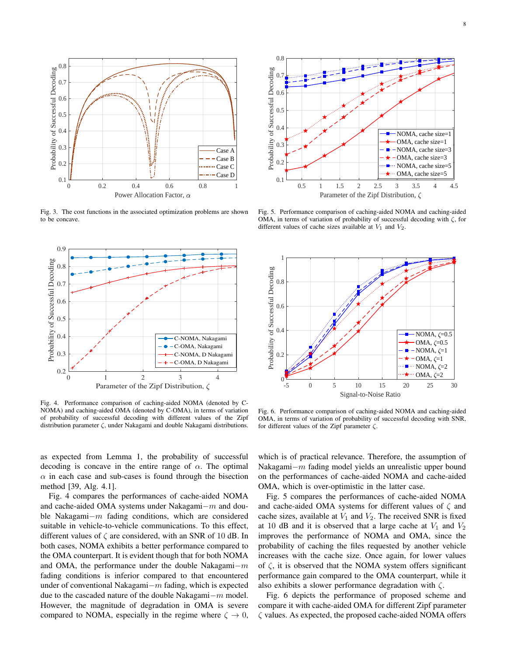

Fig. 3. The cost functions in the associated optimization problems are shown to be concave.



Fig. 4. Performance comparison of caching-aided NOMA (denoted by C-NOMA) and caching-aided OMA (denoted by C-OMA), in terms of variation of probability of successful decoding with different values of the Zipf distribution parameter *ζ*, under Nakagami and double Nakagami distributions.

as expected from Lemma 1, the probability of successful decoding is concave in the entire range of  $\alpha$ . The optimal  $\alpha$  in each case and sub-cases is found through the bisection method [39, Alg. 4.1].

Fig. 4 compares the performances of cache-aided NOMA and cache-aided OMA systems under Nakagami*−m* and double Nakagami*−m* fading conditions, which are considered suitable in vehicle-to-vehicle communications. To this effect, different values of *ζ* are considered, with an SNR of 10 dB. In both cases, NOMA exhibits a better performance compared to the OMA counterpart. It is evident though that for both NOMA and OMA, the performance under the double Nakagami*−m* fading conditions is inferior compared to that encountered under of conventional Nakagami*−m* fading, which is expected due to the cascaded nature of the double Nakagami*−m* model. However, the magnitude of degradation in OMA is severe compared to NOMA, especially in the regime where  $\zeta \to 0$ ,



Fig. 5. Performance comparison of caching-aided NOMA and caching-aided OMA, in terms of variation of probability of successful decoding with *ζ*, for different values of cache sizes available at *V*<sup>1</sup> and *V*2.



Fig. 6. Performance comparison of caching-aided NOMA and caching-aided OMA, in terms of variation of probability of successful decoding with SNR, for different values of the Zipf parameter *ζ*.

which is of practical relevance. Therefore, the assumption of Nakagami*−m* fading model yields an unrealistic upper bound on the performances of cache-aided NOMA and cache-aided OMA, which is over-optimistic in the latter case.

Fig. 5 compares the performances of cache-aided NOMA and cache-aided OMA systems for different values of *ζ* and cache sizes, available at  $V_1$  and  $V_2$ . The received SNR is fixed at 10 dB and it is observed that a large cache at  $V_1$  and  $V_2$ improves the performance of NOMA and OMA, since the probability of caching the files requested by another vehicle increases with the cache size. Once again, for lower values of *ζ*, it is observed that the NOMA system offers significant performance gain compared to the OMA counterpart, while it also exhibits a slower performance degradation with *ζ*.

Fig. 6 depicts the performance of proposed scheme and compare it with cache-aided OMA for different Zipf parameter *ζ* values. As expected, the proposed cache-aided NOMA offers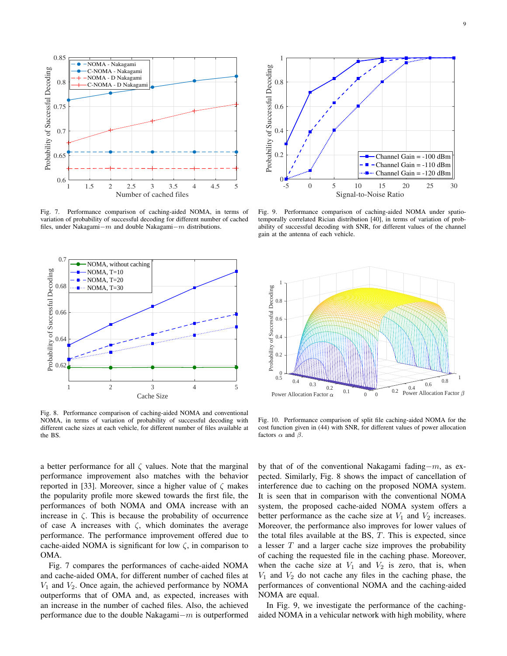

Fig. 7. Performance comparison of caching-aided NOMA, in terms of variation of probability of successful decoding for different number of cached files, under Nakagami*−m* and double Nakagami*−m* distributions.



Fig. 8. Performance comparison of caching-aided NOMA and conventional NOMA, in terms of variation of probability of successful decoding with different cache sizes at each vehicle, for different number of files available at the BS.



Fig. 9. Performance comparison of caching-aided NOMA under spatiotemporally correlated Rician distribution [40], in terms of variation of probability of successful decoding with SNR, for different values of the channel gain at the antenna of each vehicle.



Fig. 10. Performance comparison of split file caching-aided NOMA for the cost function given in (44) with SNR, for different values of power allocation factors *α* and *β*.

a better performance for all  $\zeta$  values. Note that the marginal performance improvement also matches with the behavior reported in [33]. Moreover, since a higher value of *ζ* makes the popularity profile more skewed towards the first file, the performances of both NOMA and OMA increase with an increase in  $\zeta$ . This is because the probability of occurrence of case A increases with *ζ*, which dominates the average performance. The performance improvement offered due to cache-aided NOMA is significant for low  $\zeta$ , in comparison to OMA.

Fig. 7 compares the performances of cache-aided NOMA and cache-aided OMA, for different number of cached files at *V*<sup>1</sup> and *V*2. Once again, the achieved performance by NOMA outperforms that of OMA and, as expected, increases with an increase in the number of cached files. Also, the achieved performance due to the double Nakagami*−m* is outperformed by that of of the conventional Nakagami fading*−m*, as expected. Similarly, Fig. 8 shows the impact of cancellation of interference due to caching on the proposed NOMA system. It is seen that in comparison with the conventional NOMA system, the proposed cache-aided NOMA system offers a better performance as the cache size at  $V_1$  and  $V_2$  increases. Moreover, the performance also improves for lower values of the total files available at the BS, *T*. This is expected, since a lesser *T* and a larger cache size improves the probability of caching the requested file in the caching phase. Moreover, when the cache size at  $V_1$  and  $V_2$  is zero, that is, when  $V_1$  and  $V_2$  do not cache any files in the caching phase, the performances of conventional NOMA and the caching-aided NOMA are equal.

In Fig. 9, we investigate the performance of the cachingaided NOMA in a vehicular network with high mobility, where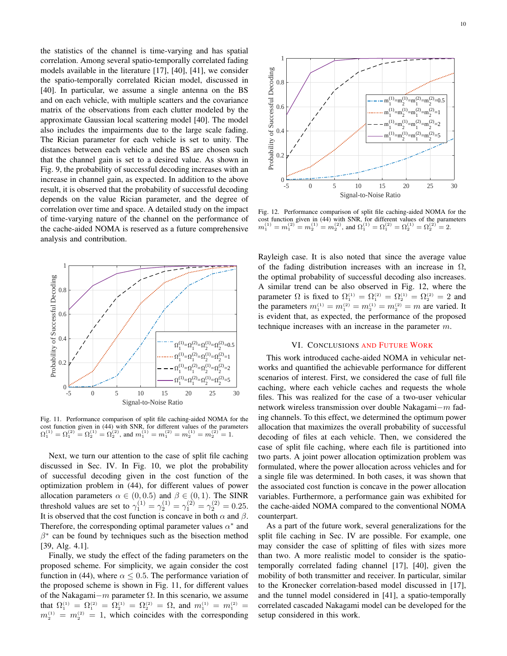the statistics of the channel is time-varying and has spatial correlation. Among several spatio-temporally correlated fading models available in the literature [17], [40], [41], we consider the spatio-temporally correlated Rician model, discussed in [40]. In particular, we assume a single antenna on the BS and on each vehicle, with multiple scatters and the covariance matrix of the observations from each clutter modeled by the approximate Gaussian local scattering model [40]. The model also includes the impairments due to the large scale fading. The Rician parameter for each vehicle is set to unity. The distances between each vehicle and the BS are chosen such that the channel gain is set to a desired value. As shown in Fig. 9, the probability of successful decoding increases with an increase in channel gain, as expected. In addition to the above result, it is observed that the probability of successful decoding depends on the value Rician parameter, and the degree of correlation over time and space. A detailed study on the impact of time-varying nature of the channel on the performance of the cache-aided NOMA is reserved as a future comprehensive analysis and contribution.



Fig. 11. Performance comparison of split file caching-aided NOMA for the cost function given in (44) with SNR, for different values of the parameters  $\Omega_1^{(1)} = \Omega_1^{(2)} = \Omega_2^{(1)} = \Omega_2^{(2)}$ , and  $m_1^{(1)} = m_1^{(2)} = m_2^{(1)} = m_2^{(2)} = 1$ .

Next, we turn our attention to the case of split file caching discussed in Sec. IV. In Fig. 10, we plot the probability of successful decoding given in the cost function of the optimization problem in (44), for different values of power allocation parameters  $\alpha \in (0, 0.5)$  and  $\beta \in (0, 1)$ . The SINR threshold values are set to  $\gamma_1^{(1)} = \gamma_2^{(1)} = \gamma_1^{(2)} = \gamma_2^{(2)} = 0.25$ . It is observed that the cost function is concave in both  $\alpha$  and  $\beta$ . Therefore, the corresponding optimal parameter values  $\alpha^*$  and *β ∗* can be found by techniques such as the bisection method [39, Alg. 4.1].

Finally, we study the effect of the fading parameters on the proposed scheme. For simplicity, we again consider the cost function in (44), where  $\alpha \leq 0.5$ . The performance variation of the proposed scheme is shown in Fig. 11, for different values of the Nakagami*−m* parameter Ω. In this scenario, we assume that  $\Omega_1^{(1)} = \Omega_1^{(2)} = \Omega_2^{(1)} = \Omega_2^{(2)} = \Omega$ , and  $m_1^{(1)} = m_1^{(2)} =$  $m_2^{(1)} = m_2^{(2)} = 1$ , which coincides with the corresponding



Fig. 12. Performance comparison of split file caching-aided NOMA for the cost function given in (44) with SNR, for different values of the parameters  $m_1^{(1)} = m_1^{(2)} = m_2^{(1)} = m_2^{(2)}$ , and  $\Omega_1^{(1)} = \Omega_1^{(2)} = \Omega_2^{(1)} = \Omega_2^{(2)} = 2$ .

Rayleigh case. It is also noted that since the average value of the fading distribution increases with an increase in  $\Omega$ , the optimal probability of successful decoding also increases. A similar trend can be also observed in Fig. 12, where the parameter  $\Omega$  is fixed to  $\Omega_1^{(1)} = \Omega_1^{(2)} = \Omega_2^{(1)} = \Omega_2^{(2)} = 2$  and the parameters  $m_1^{(1)} = m_1^{(2)} = m_2^{(1)} = m_2^{(2)} = m$  are varied. It is evident that, as expected, the performance of the proposed technique increases with an increase in the parameter *m*.

## VI. CONCLUSIONS AND FUTURE WORK

This work introduced cache-aided NOMA in vehicular networks and quantified the achievable performance for different scenarios of interest. First, we considered the case of full file caching, where each vehicle caches and requests the whole files. This was realized for the case of a two-user vehicular network wireless transmission over double Nakagami*−m* fading channels. To this effect, we determined the optimum power allocation that maximizes the overall probability of successful decoding of files at each vehicle. Then, we considered the case of split file caching, where each file is partitioned into two parts. A joint power allocation optimization problem was formulated, where the power allocation across vehicles and for a single file was determined. In both cases, it was shown that the associated cost function is concave in the power allocation variables. Furthermore, a performance gain was exhibited for the cache-aided NOMA compared to the conventional NOMA counterpart.

As a part of the future work, several generalizations for the split file caching in Sec. IV are possible. For example, one may consider the case of splitting of files with sizes more than two. A more realistic model to consider is the spatiotemporally correlated fading channel [17], [40], given the mobility of both transmitter and receiver. In particular, similar to the Kronecker correlation-based model discussed in [17], and the tunnel model considered in [41], a spatio-temporally correlated cascaded Nakagami model can be developed for the setup considered in this work.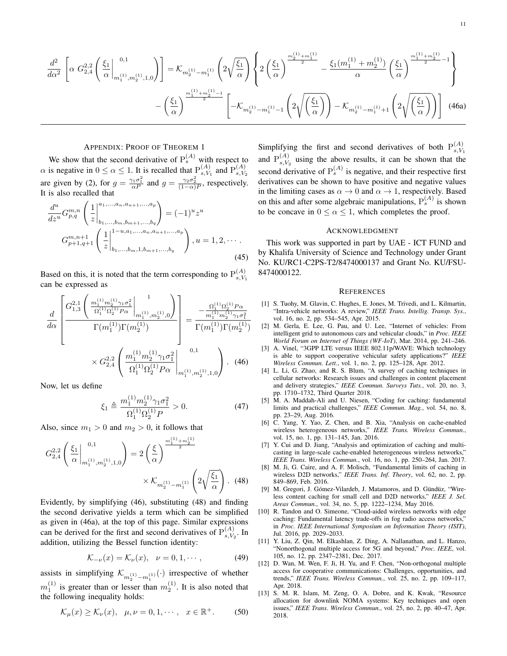$$
\frac{d^2}{d\alpha^2} \left[ \alpha G_{2,4}^{2,2} \left( \frac{\xi_1}{\alpha} \Big|_{m_1^{(1)}, m_2^{(1)}, 1, 0}^{\quad 0,1} \right) \right] = \mathcal{K}_{m_2^{(1)} - m_1^{(1)}} \left( 2 \sqrt{\frac{\xi_1}{\alpha}} \right) \left\{ 2 \left( \frac{\xi_1}{\alpha} \right)^{\frac{m_2^{(1)} + m_1^{(1)}}{2}} - \frac{\xi_1(m_1^{(1)} + m_2^{(1)})}{\alpha} \left( \frac{\xi_1}{\alpha} \right)^{\frac{m_1^{(1)} + m_2^{(1)}}{2} - 1} \right\}
$$
\n
$$
- \left( \frac{\xi_1}{\alpha} \right)^{\frac{m_1^{(1)} + m_2^{(1)} - 1}{2}} \left[ -\mathcal{K}_{m_2^{(1)} - m_1^{(1)} - 1} \left( 2 \sqrt{\left( \frac{\xi_1}{\alpha} \right)} \right) - \mathcal{K}_{m_2^{(1)} - m_1^{(1)} + 1} \left( 2 \sqrt{\left( \frac{\xi_1}{\alpha} \right)} \right) \right] \tag{46a}
$$

## APPENDIX: PROOF OF THEOREM 1

We show that the second derivative of  $P_s^{(A)}$  with respect to  $\alpha$  is negative in  $0 \leq \alpha \leq 1$ . It is recalled that  $P_{s,V}^{(A)}$  $_{s, V_1}^{(A)}$  and  $P_{s, V_2}^{(A)}$  $s, V_2$ are given by (2), for  $g = \frac{\gamma_1 \sigma_1^2}{\alpha P}$  and  $g = \frac{\gamma_2 \sigma_2^2}{(1-\alpha)P}$ , respectively. It is also recalled that

$$
\frac{d^u}{dz^u} G_{p,q}^{m,n} \left( \frac{1}{z} \Big|_{b_1,\ldots,b_m,b_{m+1},\ldots,b_q}^{a_1,\ldots,a_n,a_{n+1},\ldots,a_p} \right) = (-1)^u z^u
$$
\n
$$
G_{p+1,q+1}^{m,n+1} \left( \frac{1}{z} \Big|_{b_1,\ldots,b_m,1,b_{m+1},\ldots,b_q}^{1-u,a_1,\ldots,a_n,a_{n+1},\ldots,a_p} \right), u = 1,2,\cdots.
$$
\n(45)

Based on this, it is noted that the term corresponding to  $P_{s,V}^{(A)}$ *s,V*<sup>1</sup> can be expressed as

$$
\frac{d}{d\alpha} \left[ \frac{G_{1,3}^{2,1} \left( \frac{m_1^{(1)} m_2^{(1)} \gamma_1 \sigma_1^2}{\Omega_1^{(1)} \Omega_2^{(1)} P \alpha} \Big|_{m_1^{(1)}, m_2^{(1)}, 0}^{n_1^{(1)}} \right)}{\Gamma(m_1^{(1)}) \Gamma(m_2^{(1)})} \right] = \frac{-\frac{\Omega_1^{(1)} \Omega_2^{(1)} P \alpha}{m_1^{(1)} m_2^{(1)} \gamma_1 \sigma_1^2}}{\Gamma(m_1^{(1)}) \Gamma(m_2^{(1)})}
$$

$$
\times G_{2,4}^{2,2} \left( \frac{m_1^{(1)} m_2^{(1)} \gamma_1 \sigma_1^2}{\Omega_1^{(1)} \Omega_2^{(1)} P \alpha} \Big|_{m_1^{(1)}, m_2^{(1)}, 1, 0}^{n_1^{(1)}} \right). (46)
$$

Now, let us define

$$
\xi_1 \triangleq \frac{m_1^{(1)} m_2^{(1)} \gamma_1 \sigma_1^2}{\Omega_1^{(1)} \Omega_2^{(1)} P} > 0.
$$
 (47)

Also, since  $m_1 > 0$  and  $m_2 > 0$ , it follows that

$$
G_{2,4}^{2,2} \left( \frac{\xi_1}{\alpha} \Big|_{m_1^{(1)}, m_2^{(1)}, 1, 0}^{\quad 0, 1} \right) = 2 \left( \frac{\xi}{\alpha} \right)^{\frac{m_1^{(1)} + m_2^{(1)}}{2}}
$$

$$
\times \mathcal{K}_{m_2^{(1)} - m_1^{(1)}} \left( 2 \sqrt{\frac{\xi_1}{\alpha}} \right). \tag{48}
$$

Evidently, by simplifying (46), substituting (48) and finding the second derivative yields a term which can be simplified as given in (46a), at the top of this page. Similar expressions can be derived for the first and second derivatives of  $P_{s|V}^{(A)}$  $s, V_2$ . In addition, utilizing the Bessel function identity:

$$
\mathcal{K}_{-\nu}(x) = \mathcal{K}_{\nu}(x), \quad \nu = 0, 1, \cdots,
$$
 (49)

assists in simplifying  $\mathcal{K}_{m_2^{(1)} - m_1^{(1)}}(\cdot)$  irrespective of whether  $m_1^{(1)}$  is greater than or lesser than  $m_2^{(1)}$ . It is also noted that the following inequality holds:

$$
\mathcal{K}_{\mu}(x) \ge \mathcal{K}_{\nu}(x), \quad \mu, \nu = 0, 1, \cdots, \quad x \in \mathbb{R}^+. \tag{50}
$$

Simplifying the first and second derivatives of both  $P_{s,V}^{(A)}$ *s,V*<sup>1</sup> and  $P_{s,V}^{(A)}$  $s_1^{(A)}$  using the above results, it can be shown that the second derivative of  $P_s^{(A)}$  is negative, and their respective first derivatives can be shown to have positive and negative values in the limiting cases as  $\alpha \rightarrow 0$  and  $\alpha \rightarrow 1$ , respectively. Based on this and after some algebraic manipulations,  $P_s^{(A)}$  is shown to be concave in  $0 \le \alpha \le 1$ , which completes the proof.

#### ACKNOWLEDGMENT

This work was supported in part by UAE - ICT FUND and by Khalifa University of Science and Technology under Grant No. KU/RC1-C2PS-T2/8474000137 and Grant No. KU/FSU-8474000122.

#### **REFERENCES**

- [1] S. Tuohy, M. Glavin, C. Hughes, E. Jones, M. Trivedi, and L. Kilmartin, "Intra-vehicle networks: A review," *IEEE Trans. Intellig. Transp. Sys.*, vol. 16, no. 2, pp. 534–545, Apr. 2015.
- [2] M. Gerla, E. Lee, G. Pau, and U. Lee, "Internet of vehicles: From intelligent grid to autonomous cars and vehicular clouds," in *Proc. IEEE World Forum on Internet of Things (WF-IoT)*, Mar. 2014, pp. 241–246.
- [3] A. Vinel, "3GPP LTE versus IEEE 802.11p/WAVE: Which technology is able to support cooperative vehicular safety applications?" *IEEE Wireless Commun. Lett.*, vol. 1, no. 2, pp. 125–128, Apr. 2012.
- [4] L. Li, G. Zhao, and R. S. Blum, "A survey of caching techniques in cellular networks: Research issues and challenges in content placement and delivery strategies," *IEEE Commun. Surveys Tuts.*, vol. 20, no. 3, pp. 1710–1732, Third Quarter 2018.
- [5] M. A. Maddah-Ali and U. Niesen, "Coding for caching: fundamental limits and practical challenges," *IEEE Commun. Mag.*, vol. 54, no. 8, pp. 23–29, Aug. 2016.
- [6] C. Yang, Y. Yao, Z. Chen, and B. Xia, "Analysis on cache-enabled wireless heterogeneous networks," *IEEE Trans. Wireless Commun.*, vol. 15, no. 1, pp. 131–145, Jan. 2016.
- [7] Y. Cui and D. Jiang, "Analysis and optimization of caching and multicasting in large-scale cache-enabled heterogeneous wireless networks," *IEEE Trans. Wireless Commun.*, vol. 16, no. 1, pp. 250–264, Jan. 2017.
- [8] M. Ji, G. Caire, and A. F. Molisch, "Fundamental limits of caching in wireless D2D networks," *IEEE Trans. Inf. Theory*, vol. 62, no. 2, pp. 849–869, Feb. 2016.
- [9] M. Gregori, J. Gómez-Vilardeb, J. Matamoros, and D. Gündüz, "Wireless content caching for small cell and D2D networks," *IEEE J. Sel. Areas Commun.*, vol. 34, no. 5, pp. 1222–1234, May 2016.
- [10] R. Tandon and O. Simeone, "Cloud-aided wireless networks with edge caching: Fundamental latency trade-offs in fog radio access networks," in *Proc. IEEE International Symposium on Information Theory (ISIT)*, Jul. 2016, pp. 2029–2033.
- [11] Y. Liu, Z. Qin, M. Elkashlan, Z. Ding, A. Nallanathan, and L. Hanzo, "Nonorthogonal multiple access for 5G and beyond," *Proc. IEEE*, vol. 105, no. 12, pp. 2347–2381, Dec. 2017.
- [12] D. Wan, M. Wen, F. Ji, H. Yu, and F. Chen, "Non-orthogonal multiple access for cooperative communications: Challenges, opportunities, and trends," *IEEE Trans. Wireless Commun.*, vol. 25, no. 2, pp. 109–117, Apr. 2018.
- [13] S. M. R. Islam, M. Zeng, O. A. Dobre, and K. Kwak, "Resource allocation for downlink NOMA systems: Key techniques and open issues," *IEEE Trans. Wireless Commun.*, vol. 25, no. 2, pp. 40–47, Apr. 2018.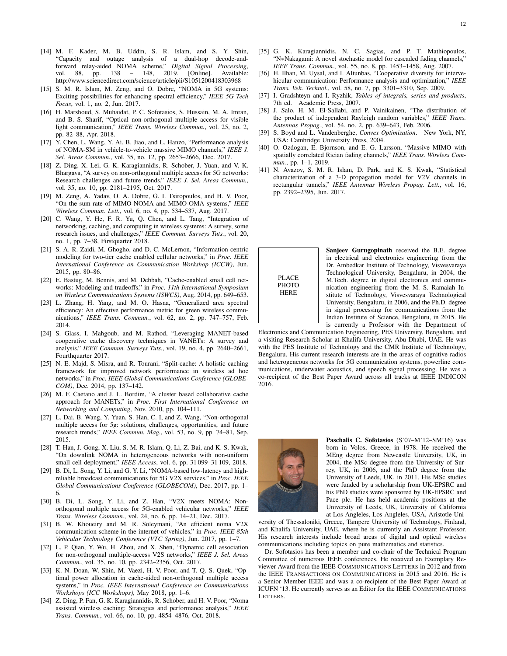- [14] M. F. Kader, M. B. Uddin, S. R. Islam, and S. Y. Shin, "Capacity and outage analysis of a dual-hop decode-andforward relay-aided NOMA scheme," *Digital Signal Processing*, vol. 88, pp. 138 – 148, 2019. [Online]. Available: http://www.sciencedirect.com/science/article/pii/S1051200418303968
- [15] S. M. R. Islam, M. Zeng, and O. Dobre, "NOMA in 5G systems: Exciting possibilities for enhancing spectral efficiency," *IEEE 5G Tech Focus*, vol. 1, no. 2, Jun. 2017.
- [16] H. Marshoud, S. Muhaidat, P. C. Sofotasios, S. Hussain, M. A. Imran, and B. S. Sharif, "Optical non-orthogonal multiple access for visible light communication," *IEEE Trans. Wireless Commun.*, vol. 25, no. 2, pp. 82–88, Apr. 2018.
- [17] Y. Chen, L. Wang, Y. Ai, B. Jiao, and L. Hanzo, "Performance analysis of NOMA-SM in vehicle-to-vehicle massive MIMO channels," *IEEE J. Sel. Areas Commun.*, vol. 35, no. 12, pp. 2653–2666, Dec. 2017.
- [18] Z. Ding, X. Lei, G. K. Karagiannidis, R. Schober, J. Yuan, and V. K. Bhargava, "A survey on non-orthogonal multiple access for 5G networks: Research challenges and future trends," *IEEE J. Sel. Areas Commun.*, vol. 35, no. 10, pp. 2181–2195, Oct. 2017.
- [19] M. Zeng, A. Yadav, O. A. Dobre, G. I. Tsiropoulos, and H. V. Poor, "On the sum rate of MIMO-NOMA and MIMO-OMA systems," *IEEE Wireless Commun. Lett.*, vol. 6, no. 4, pp. 534–537, Aug. 2017.
- [20] C. Wang, Y. He, F. R. Yu, Q. Chen, and L. Tang, "Integration of networking, caching, and computing in wireless systems: A survey, some research issues, and challenges," *IEEE Commun. Surveys Tuts.*, vol. 20, no. 1, pp. 7–38, Firstquarter 2018.
- [21] S. A. R. Zaidi, M. Ghogho, and D. C. McLernon, "Information centric modeling for two-tier cache enabled cellular networks," in *Proc. IEEE International Conference on Communication Workshop (ICCW)*, Jun. 2015, pp. 80–86.
- [22] E. Bastug, M. Bennis, and M. Debbah, "Cache-enabled small cell networks: Modeling and tradeoffs," in *Proc. 11th International Symposium on Wireless Communications Systems (ISWCS)*, Aug. 2014, pp. 649–653.
- [23] L. Zhang, H. Yang, and M. O. Hasna, "Generalized area spectral efficiency: An effective performance metric for green wireless communications," *IEEE Trans. Commun.*, vol. 62, no. 2, pp. 747–757, Feb. 2014.
- [24] S. Glass, I. Mahgoub, and M. Rathod, "Leveraging MANET-based cooperative cache discovery techniques in VANETs: A survey and analysis," *IEEE Commun. Surveys Tuts.*, vol. 19, no. 4, pp. 2640–2661, Fourthquarter 2017.
- [25] N. E. Majd, S. Misra, and R. Tourani, "Split-cache: A holistic caching framework for improved network performance in wireless ad hoc networks," in *Proc. IEEE Global Communications Conference (GLOBE-COM)*, Dec. 2014, pp. 137–142.
- [26] M. F. Caetano and J. L. Bordim, "A cluster based collaborative cache approach for MANETs," in *Proc. First International Conference on Networking and Computing*, Nov. 2010, pp. 104–111.
- [27] L. Dai, B. Wang, Y. Yuan, S. Han, C. I, and Z. Wang, "Non-orthogonal multiple access for 5g: solutions, challenges, opportunities, and future research trends," *IEEE Commun. Mag.*, vol. 53, no. 9, pp. 74–81, Sep. 2015.
- [28] T. Han, J. Gong, X. Liu, S. M. R. Islam, Q. Li, Z. Bai, and K. S. Kwak, "On downlink NOMA in heterogeneous networks with non-uniform small cell deployment," *IEEE Access*, vol. 6, pp. 31 099–31 109, 2018.
- [29] B. Di, L. Song, Y. Li, and G. Y. Li, "NOMA-based low-latency and highreliable broadcast communications for 5G V2X services," in *Proc. IEEE Global Communications Conference (GLOBECOM)*, Dec. 2017, pp. 1– 6.
- [30] B. Di, L. Song, Y. Li, and Z. Han, "V2X meets NOMA: Nonorthogonal multiple access for 5G-enabled vehicular networks," *IEEE Trans. Wireless Commun.*, vol. 24, no. 6, pp. 14–21, Dec. 2017.
- [31] B. W. Khoueiry and M. R. Soleymani, "An efficient noma V2X communication scheme in the internet of vehicles," in *Proc. IEEE 85th Vehicular Technology Conference (VTC Spring)*, Jun. 2017, pp. 1–7.
- [32] L. P. Qian, Y. Wu, H. Zhou, and X. Shen, "Dynamic cell association for non-orthogonal multiple-access V2S networks," *IEEE J. Sel. Areas Commun.*, vol. 35, no. 10, pp. 2342–2356, Oct. 2017.
- [33] K. N. Doan, W. Shin, M. Vaezi, H. V. Poor, and T. Q. S. Quek, "Optimal power allocation in cache-aided non-orthogonal multiple access systems," in *Proc. IEEE International Conference on Communications Workshops (ICC Workshops)*, May 2018, pp. 1–6.
- [34] Z. Ding, P. Fan, G. K. Karagiannidis, R. Schober, and H. V. Poor, "Noma assisted wireless caching: Strategies and performance analysis," *IEEE Trans. Commun.*, vol. 66, no. 10, pp. 4854–4876, Oct. 2018.
- [35] G. K. Karagiannidis, N. C. Sagias, and P. T. Mathiopoulos, "N*∗*Nakagami: A novel stochastic model for cascaded fading channels," *IEEE Trans. Commun.*, vol. 55, no. 8, pp. 1453–1458, Aug. 2007.
- [36] H. Ilhan, M. Uysal, and I. Altunbas, "Cooperative diversity for intervehicular communication: Performance analysis and optimization," *IEEE Trans. Veh. Technol.*, vol. 58, no. 7, pp. 3301–3310, Sep. 2009.
- [37] I. Gradshteyn and I. Ryzhik, *Tables of integrals, series and products*, 7th ed. Academic Press, 2007.
- [38] J. Salo, H. M. El-Sallabi, and P. Vainikainen, "The distribution of the product of independent Rayleigh random variables," *IEEE Trans. Antennas Propag.*, vol. 54, no. 2, pp. 639–643, Feb. 2006.
- [39] S. Boyd and L. Vandenberghe, *Convex Optimization*. New York, NY, USA: Cambridge University Press, 2004.
- [40] O. Ozdogan, E. Bjornson, and E. G. Larsson, "Massive MIMO with spatially correlated Rician fading channels," *IEEE Trans. Wireless Commun.*, pp. 1–1, 2019.
- [41] N. Avazov, S. M. R. Islam, D. Park, and K. S. Kwak, "Statistical characterization of a 3-D propagation model for V2V channels in rectangular tunnels," *IEEE Antennas Wireless Propag. Lett.*, vol. 16, pp. 2392–2395, Jun. 2017.



Sanjeev Gurugopinath received the B.E. degree in electrical and electronics engineering from the Dr. Ambedkar Institute of Technology, Visvesvaraya Technological University, Bengaluru, in 2004, the M.Tech. degree in digital electronics and communication engineering from the M. S. Ramaiah Institute of Technology, Visvesvaraya Technological University, Bengaluru, in 2006, and the Ph.D. degree in signal processing for communications from the Indian Institute of Science, Bengaluru, in 2015. He is currently a Professor with the Department of

Electronics and Communication Engineering, PES University, Bengaluru, and a visiting Research Scholar at Khalifa University, Abu Dhabi, UAE. He was with the PES Institute of Technology and the CMR Institute of Technology, Bengaluru. His current research interests are in the areas of cognitive radios and heterogeneous networks for 5G communication systems, powerline communications, underwater acoustics, and speech signal processing. He was a co-recipient of the Best Paper Award across all tracks at IEEE INDICON 2016.



Paschalis C. Sofotasios (S'07–M'12–SM'16) was born in Volos, Greece, in 1978. He received the MEng degree from Newcastle University, UK, in 2004, the MSc degree from the University of Surrey, UK, in 2006, and the PhD degree from the University of Leeds, UK, in 2011. His MSc studies were funded by a scholarship from UK-EPSRC and his PhD studies were sponsored by UK-EPSRC and Pace plc. He has held academic positions at the University of Leeds, UK, University of California at Los Angleles, Los Angleles, USA, Aristotle Uni-

versity of Thessaloniki, Greece, Tampere University of Technology, Finland, and Khalifa University, UAE, where he is currently an Assistant Professor. His research interests include broad areas of digital and optical wireless communications including topics on pure mathematics and statistics.

Dr. Sofotasios has been a member and co-chair of the Technical Program Committee of numerous IEEE conferences. He received an Exemplary Reviewer Award from the IEEE COMMUNICATIONS LETTERS in 2012 and from the IEEE TRANSACTIONS ON COMMUNICATIONS in 2015 and 2016. He is a Senior Member IEEE and was a co-recipient of the Best Paper Award at ICUFN '13. He currently serves as an Editor for the IEEE COMMUNICATIONS LETTERS.